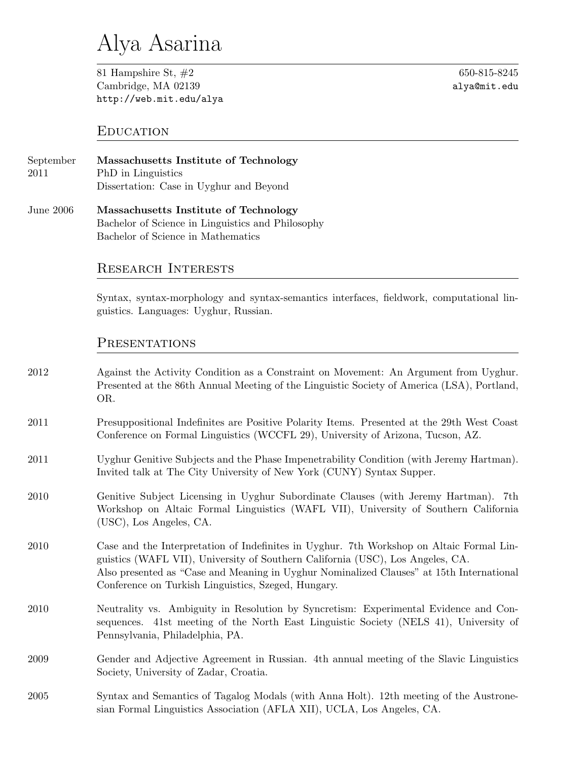# Alya Asarina

81 Hampshire St, #2 650-815-8245 Cambridge, MA 02139 **alya@mit.edu** http://web.mit.edu/alya

## **EDUCATION**

| September | Massachusetts Institute of Technology   |
|-----------|-----------------------------------------|
| 2011      | PhD in Linguistics                      |
|           | Dissertation: Case in Uyghur and Beyond |

June 2006 **Massachusetts Institute of Technology** Bachelor of Science in Linguistics and Philosophy Bachelor of Science in Mathematics

## Research Interests

Syntax, syntax-morphology and syntax-semantics interfaces, fieldwork, computational linguistics. Languages: Uyghur, Russian.

### PRESENTATIONS

| 2012 | Against the Activity Condition as a Constraint on Movement: An Argument from Uyghur.<br>Presented at the 86th Annual Meeting of the Linguistic Society of America (LSA), Portland,<br>OR.                                                                                                                                     |
|------|-------------------------------------------------------------------------------------------------------------------------------------------------------------------------------------------------------------------------------------------------------------------------------------------------------------------------------|
| 2011 | Presuppositional Indefinites are Positive Polarity Items. Presented at the 29th West Coast<br>Conference on Formal Linguistics (WCCFL 29), University of Arizona, Tucson, AZ.                                                                                                                                                 |
| 2011 | Uyghur Genitive Subjects and the Phase Impenetrability Condition (with Jeremy Hartman).<br>Invited talk at The City University of New York (CUNY) Syntax Supper.                                                                                                                                                              |
| 2010 | Genitive Subject Licensing in Uyghur Subordinate Clauses (with Jeremy Hartman). 7th<br>Workshop on Altaic Formal Linguistics (WAFL VII), University of Southern California<br>(USC), Los Angeles, CA.                                                                                                                         |
| 2010 | Case and the Interpretation of Indefinites in Uyghur. 7th Workshop on Altaic Formal Lin-<br>guistics (WAFL VII), University of Southern California (USC), Los Angeles, CA.<br>Also presented as "Case and Meaning in Uyghur Nominalized Clauses" at 15th International<br>Conference on Turkish Linguistics, Szeged, Hungary. |
| 2010 | Neutrality vs. Ambiguity in Resolution by Syncretism: Experimental Evidence and Con-<br>sequences. 41st meeting of the North East Linguistic Society (NELS 41), University of<br>Pennsylvania, Philadelphia, PA.                                                                                                              |
| 2009 | Gender and Adjective Agreement in Russian. 4th annual meeting of the Slavic Linguistics<br>Society, University of Zadar, Croatia.                                                                                                                                                                                             |
| 2005 | Syntax and Semantics of Tagalog Modals (with Anna Holt). 12th meeting of the Austrone-<br>sian Formal Linguistics Association (AFLA XII), UCLA, Los Angeles, CA.                                                                                                                                                              |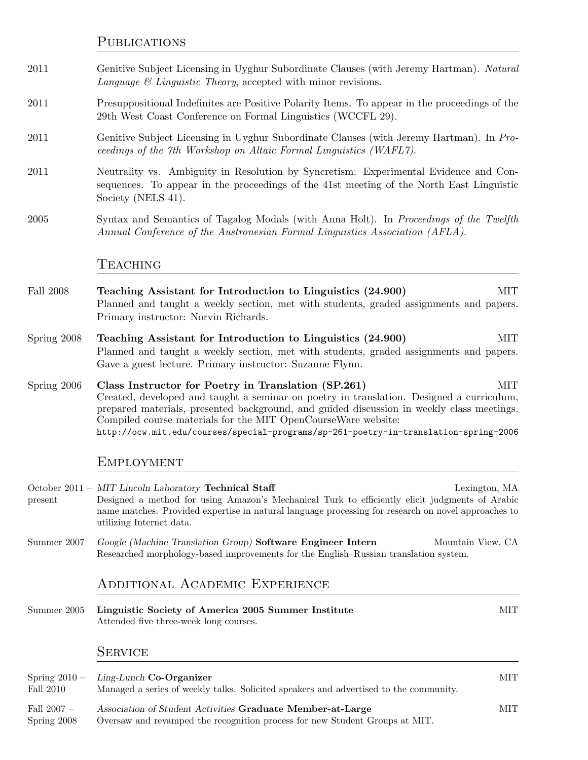**PUBLICATIONS** 

- 2011 Genitive Subject Licensing in Uyghur Subordinate Clauses (with Jeremy Hartman). *Natural Language & Linguistic Theory*, accepted with minor revisions.
- 2011 Presuppositional Indefinites are Positive Polarity Items. To appear in the proceedings of the 29th West Coast Conference on Formal Linguistics (WCCFL 29).
- 2011 Genitive Subject Licensing in Uyghur Subordinate Clauses (with Jeremy Hartman). In *Proceedings of the 7th Workshop on Altaic Formal Linguistics (WAFL7)*.
- 2011 Neutrality vs. Ambiguity in Resolution by Syncretism: Experimental Evidence and Consequences. To appear in the proceedings of the 41st meeting of the North East Linguistic Society (NELS 41).
- 2005 Syntax and Semantics of Tagalog Modals (with Anna Holt). In *Proceedings of the Twelfth Annual Conference of the Austronesian Formal Linguistics Association (AFLA)*.

#### **TEACHING**

- Fall 2008 **Teaching Assistant for Introduction to Linguistics (24.900)** MIT Planned and taught a weekly section, met with students, graded assignments and papers. Primary instructor: Norvin Richards.
- Spring 2008 **Teaching Assistant for Introduction to Linguistics (24.900)** MIT Planned and taught a weekly section, met with students, graded assignments and papers. Gave a guest lecture. Primary instructor: Suzanne Flynn.
- Spring 2006 **Class Instructor for Poetry in Translation (SP.261)** MIT Created, developed and taught a seminar on poetry in translation. Designed a curriculum, prepared materials, presented background, and guided discussion in weekly class meetings. Compiled course materials for the MIT OpenCourseWare website: http://ocw.mit.edu/courses/special-programs/sp-261-poetry-in-translation-spring-2006

#### **EMPLOYMENT**

October 2011 – *MIT Lincoln Laboratory* **Technical Staff** Lexington, MA present Designed a method for using Amazon's Mechanical Turk to efficiently elicit judgments of Arabic name matches. Provided expertise in natural language processing for research on novel approaches to utilizing Internet data.

Summer 2007 *Google (Machine Translation Group)* **Software Engineer Intern** Mountain View, CA Researched morphology-based improvements for the English–Russian translation system.

## Additional Academic Experience

Summer 2005 **Linguistic Society of America 2005 Summer Institute** MIT Attended five three-week long courses.

#### **SERVICE**

| Fall 2010                     | Spring $2010 - \text{Ling-Lunch Co-Organizer}$<br>Managed a series of weekly talks. Solicited speakers and advertised to the community.   | MIT. |
|-------------------------------|-------------------------------------------------------------------------------------------------------------------------------------------|------|
| Fall 2007 –<br>$Spring\ 2008$ | Association of Student Activities Graduate Member-at-Large<br>Oversaw and revamped the recognition process for new Student Groups at MIT. | MIT. |